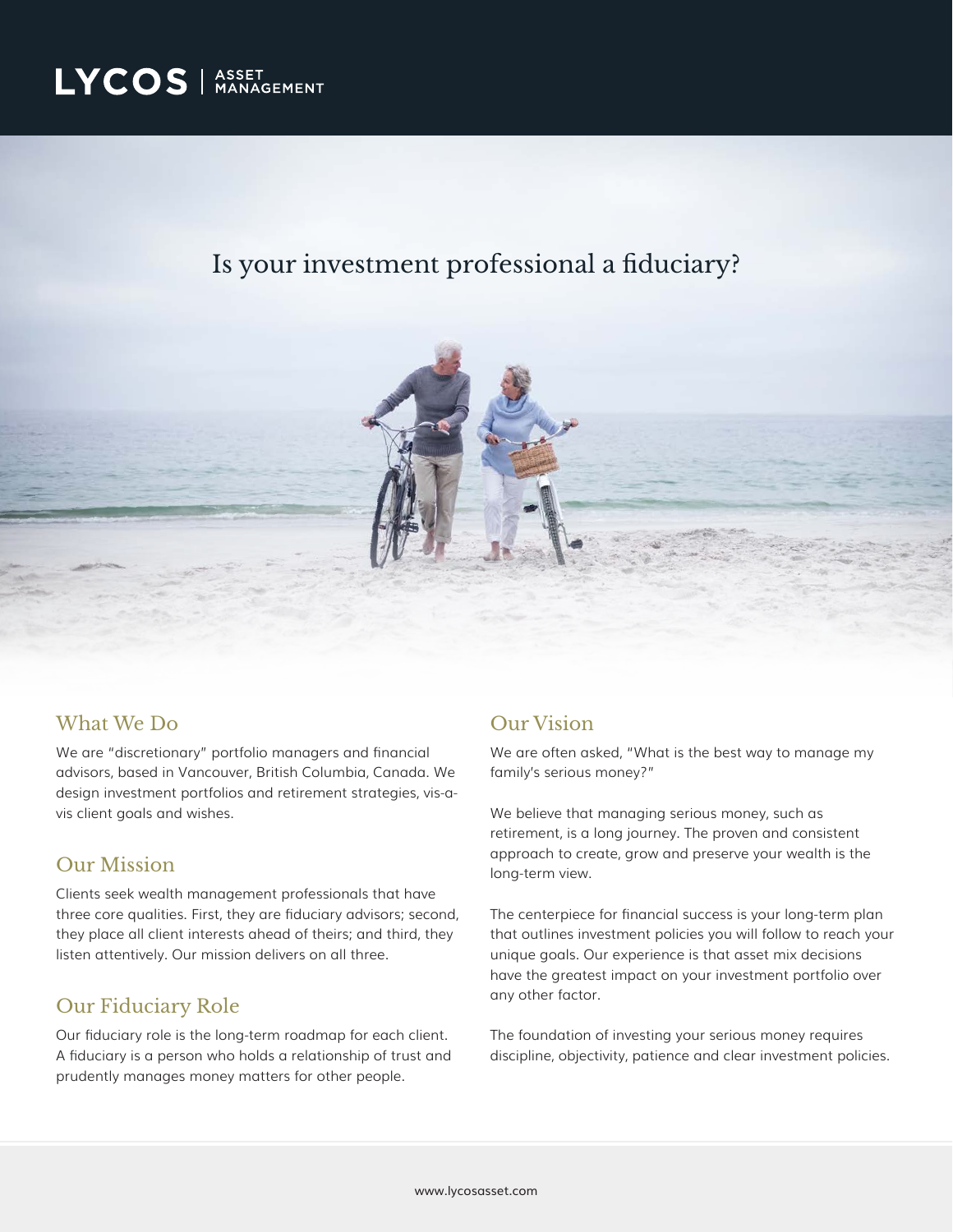# Is your investment professional a fiduciary?



### What We Do

We are "discretionary" portfolio managers and financial advisors, based in Vancouver, British Columbia, Canada. We design investment portfolios and retirement strategies, vis-avis client goals and wishes.

## Our Mission

Clients seek wealth management professionals that have three core qualities. First, they are fiduciary advisors; second, they place all client interests ahead of theirs; and third, they listen attentively. Our mission delivers on all three.

## Our Fiduciary Role

Our fiduciary role is the long-term roadmap for each client. A fiduciary is a person who holds a relationship of trust and prudently manages money matters for other people.

## Our Vision

We are often asked, "What is the best way to manage my family's serious money?"

We believe that managing serious money, such as retirement, is a long journey. The proven and consistent approach to create, grow and preserve your wealth is the long-term view.

The centerpiece for financial success is your long-term plan that outlines investment policies you will follow to reach your unique goals. Our experience is that asset mix decisions have the greatest impact on your investment portfolio over any other factor.

The foundation of investing your serious money requires discipline, objectivity, patience and clear investment policies.